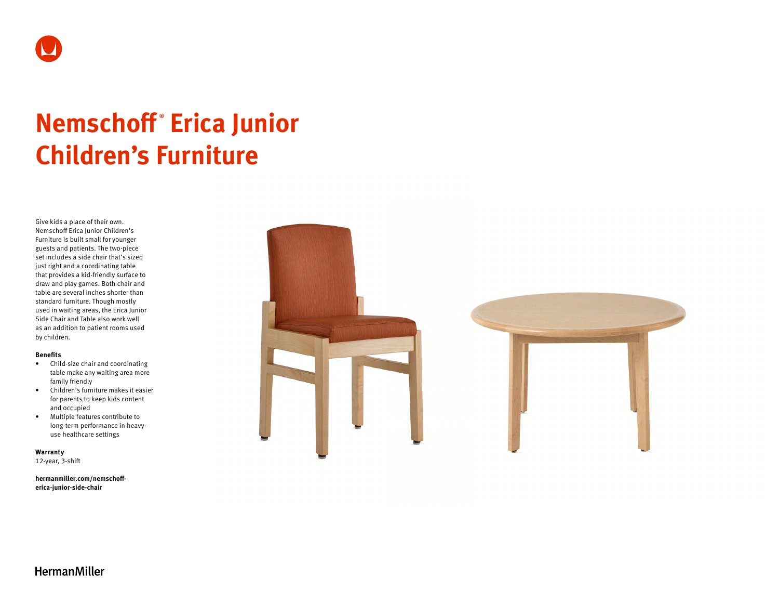

# **Nemschoff ® Erica Junior Children's Furniture**

Give kids a place of their own. Nemschoff Erica Junior Children's Furniture is built small for younger guests and patients. The two-piece set includes a side chair that's sized just right and a coordinating table that provides a kid-friendly surface to draw and play games. Both chair and table are several inches shorter than standard furniture. Though mostly used in waiting areas, the Erica Junior Side Chair and Table also work well as an addition to patient rooms used by children.

#### **Benefits**

- Child-size chair and coordinating table make any waiting area more family friendly
- Children's furniture makes it easier for parents to keep kids content and occupied
- Multiple features contribute to long-term performance in heavyuse healthcare settings

**Warranty**  12-year, 3-shift

**[hermanmiller.com/nemschoff](http://hermanmiller.com/nemschoff-erica-junior-side-chair)[erica-junior-side-chair](http://hermanmiller.com/nemschoff-erica-junior-side-chair)**



# **HermanMiller**